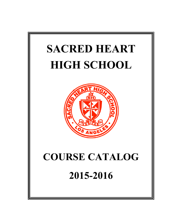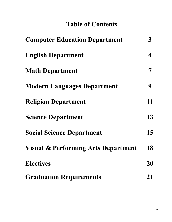# **Table of Contents**

| <b>Computer Education Department</b>           |    |
|------------------------------------------------|----|
| <b>English Department</b>                      | 4  |
| <b>Math Department</b>                         |    |
| <b>Modern Languages Department</b>             | 9  |
| <b>Religion Department</b>                     | 11 |
| <b>Science Department</b>                      | 13 |
| <b>Social Science Department</b>               | 15 |
| <b>Visual &amp; Performing Arts Department</b> | 18 |
| <b>Electives</b>                               | 20 |
| <b>Graduation Requirements</b>                 | 21 |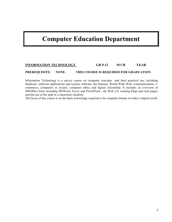# **Computer Education Department**

# **INFORMATION TECHNOLOGY GR 9-12 10 CR YEAR**

### **PREREQUISITE: NONE. THIS COURSE IS REQUIRED FOR GRADUATION**

Information Technology is a survey course on computer concepts and their practical use, including hardware, software applications and system software, the Internet, World Wide Web, communications, ecommerce, computers in society, computer ethics and digital citizenship. It includes an overview of MSOffice Suite including MSWord, Excel, and PowerPoint , the Web 2.0, creating blogs and web pages, and the use of the ipad in a classroom situation.

The focus of this course is on the basic knowledge required to be computer literate in today's digital world.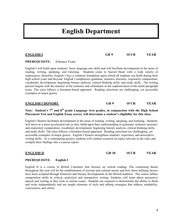# **ENGLISH I GR 9 10 CR YEAR**

**PREREQUISITE:** Entrance Exam

English I will build upon students' basic language arts skills and will facilitate development in the areas of reading, writing, speaking, and listening. Students come to Sacred Heart with a wide variety of experiences; therefore, English I lays a common foundation upon which all students can build during their high school years and beyond. English I emphasizes grammar, sentence structure, expository composition, vocabulary development, beginning literary analysis, critical thinking skills, and study skills. The writing process begins with the mastery of the sentence and culminates in the sophistication of the multi-paragraph essay. The class follows a literature-based approach. Reading selections are challenging, yet accessible examples of major genres.

**English Department**

### **ENGLISH I HONORS GR 9 10 CR YEAR**

# **Note: Student's 7th and 8th grade Language Arts grades, in conjunction with the High School Placement Test and English Essay scores, will determine a student's eligibility for this class.**

English I Honors facilitates development in the areas of reading, writing, speaking, and listening. Students will move at a more accelerated rate as they build upon their understanding of grammar, sentence structure and expository composition, vocabulary development, beginning literary analysis, critical thinking skills, and study skills. The class follows a literature-based approach. Reading selections are challenging, yet accessible examples of major genres. English I Honors strengthens students' expository and descriptive writing skills. As a culminating project, students will conduct research on topics relevant to the class and compile their findings into a concise report.

**ENGLISH II GR 10 10 CR YEAR**

## **PREREQUISITE: English I**

English II is a course in British Literature that focuses on critical reading. The continuing theme throughout the year will be the establishment of societal and cultural norms and how these defining factors have been sculpted through historical and literary developments in the British tradition. The course refines composition skills in critical, analytical and interpretive writing. Students will learn about persuasive speech and writing as they look at current issues. Students are required to demonstrate the ability to think and write independently and are taught elements of style and editing strategies that address readability, conciseness, and clarity.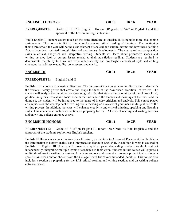## **ENGLISH II HONORS GR 10 10 CR YEAR**

**PREREQUISITE:** Grade of "B+" in English I Honors OR grade of "A-" in English I and the approval of the Freshman English teacher.

While English II Honors covers much of the same literature as English II, it includes more challenging assignments. This course in British Literature focuses on critical reading of literature. The continuing theme throughout the year will be the establishment of societal and cultural norms and how these defining factors have been sculpted through historical and literary developments. The course refines composition skills in critical, analytical and interpretive writing. Students will learn about persuasive speech and writing as they look at current issues related to their non-fiction reading. Students are required to demonstrate the ability to think and write independently and are taught elements of style and editing strategies that address readability, conciseness, and clarity.

**ENGLISH III GR 11 10 CR YEAR**

### **PREREQUISITE:** English I and II

English III is a course in American literature. The purpose of this course is to familiarize the student with the various literary genres that create and shape the face of the "American Tradition" of writers. The student will analyze the literature in a chronological order that aids in the recognition of the philosophical, political, religious, ethical and social aspects that influenced the themes and meanings of the texts read. In doing so, the student will be introduced to the genre of literary criticism and analysis. This course places an emphasis on the development of writing skills focusing on a review of grammar and diligent use of the writing process. In addition, the class will enhance creativity and critical thinking, speaking and listening skills. This course also includes a section on preparing for the SAT critical reading and writing sections and on writing college entrance essays.

**PREREQUISITE:** Grade of "B+" in English II Honors OR Grade "A-" in English 2 and the approval of the students sophomore English teacher.

English III Honors is a course in American literature, preparatory to Advanced Placement, that builds on the introduction to literary analysis and interpretation begun in English II. In addition to what is covered in English III, English III Honors will move at a quicker pace, demanding students to think and act independently, integrating multiple levels of academia in their work. Students in this course will explore a multitude of works written by various American authors and present a research project that explores a specific American author chosen from the College Board list of recommended literature. This course also includes a section on preparing for the SAT critical reading and writing sections and on writing college entrance essays.

# **ENGLISH III HONORS GR 11 10 CR YEAR**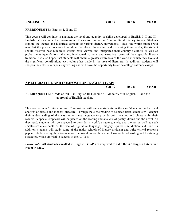#### **PREREQUISITE:** English I, II and III

This course will continue to augment the level and quantity of skills developed in English I, II and III. English IV examines the progression of various multi-ethnic/multi-cultural literary trends. Students explore the themes and historical contexts of various literary movements. Thus, the works studied will manifest the pivotal concerns throughout the globe. In reading and discussing these works, the student should discover how numerous writers have viewed and interpreted their country's culture, as well as probe the unique fictional themes, intellectual currents and narrative forms of their specific literary tradition. It is also hoped that students will obtain a greater awareness of the world in which they live and the significant contributions each culture has made in the area of literature. In addition, students will sharpen their skills in expository writing and will have the opportunity to refine college entrance essays.

## **AP LITERATURE AND COMPOSITION (ENGLISH IVAP) GR 12 10 CR YEAR**

**PREREQUISITE:** Grade of "B+" in English III Honors OR Grade "A-" in English III and the approval of English teacher.

This course in AP Literature and Composition will engage students in the careful reading and critical analysis of classic and modern literature. Through the close reading of selected texts, students will deepen their understanding of the ways writers use language to provide both meaning and pleasure for their readers. A special emphasis will be placed on the reading and analysis of poetry, drama and the novel. As they read, students will be expected to consider a work's structure, style, and themes as well as such smaller-scale elements as the use of figurative language, imagery, symbolism, diction and tone. In addition, students will study some of the major schools of literary criticism and write critical response papers. Underscoring the aforementioned curriculum will be an emphasis on timed writing and test-taking strategies, which are vital to success in the AP Test.

*Please note:* **All students enrolled in English IV AP are required to take the AP English Literature Exam in May.**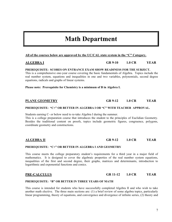7

# **Math Department**

# **All of the courses below are approved by the UC/CAL state system in the "C" Category.**

**PREREQUISITE: SCORES ON ENTRANCE EXAM SHOW READINESS FOR THE SUBJECT.**  This is a comprehensive one-year course covering the basic fundamentals of Algebra. Topics include the real number system, equations and inequalities in one and two variables, polynomials, second degree equations, radicals and graphs of linear systems.

**Please note: Prerequisite for Chemistry is a minimum of B in Algebra I.**

### **PREREQUISITE: "C+" OR BETTER IN ALGEBRA I OR "C" WITH TEACHER APPROVAL.**

Students earning C- or below need to re-take Algebra I during the summer.

This is a college preparation course that introduces the student to the principles of Euclidian Geometry. Besides the traditional content on proofs, topics include geometric figures, congruence, polygons, coordinate geometry and constructions.

# **PREREQUISITE: "C+" OR BETTER IN ALGEBRA I AND GEOMETRY**

This course meets the college preparatory student's requirements for a third year in a major field of mathematics. It is designed to cover the algebraic properties of the real number system equations, inequalities of the first and second degree, their graphs, matrices and determinants, introduction to logarithmic and exponential functions and conics.

### **PREREQUISITE: "B" OR BETTER IN THREE YEARS OF MATH**

This course is intended for students who have successfully completed Algebra II and who wish to take another math elective. The three main sections are: (1) a brief review of some algebra topics, particularly linear programming, theory of equations, and convergence and divergence of infinite series, (2) theory and

### **PLANE GEOMETRY GR 9-12 1.0 CR YEAR**

### **ALGEBRA II GR 9-12 1.0 CR YEAR**

# **PRE-CALCULUS GR 11-12 1.0 CR YEAR**

**ALGEBRA I GR 9-10 1.0 CR YEAR**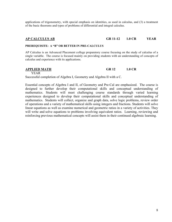applications of trigonometry, with special emphasis on identities, as used in calculus, and (3) a treatment of the basic theorems and types of problems of differential and integral calculus.

# **AP CALCULUS AB GR 11-12 1.0 CR YEAR**

#### **PREREQUISITE: A "B" OR BETTER IN PRE-CALCULUS**

AP Calculus is an Advanced Placement college preparatory course focusing on the study of calculus of a single variable. The course is focused mainly on providing students with an understanding of concepts of calculus and experience with its applications.

### **APPLIED MATH GR 12 1.0 CR**

YEAR

Successful completion of Algebra I, Geometry and Algebra II with a C.

Essential concepts of Algebra I and II, of Geometry and Pre-Cal are emphasized. The course is designed to further develop their computational skills and conceptual understanding of mathematics. Students will meet challenging course standards through varied learning experiences designed to develop their computational skills and conceptual understanding of mathematics. Students will collect, organize and graph data, solve logic problems, review order of operations and a variety of mathematical skills using integers and fractions. Students will solve linear equations as well as examine numerical and geometric ratios in a variety of activities. They will write and solve equations to problems involving equivalent ratios. Learning, reviewing and reinforcing previous mathematical concepts will assist them in their continued algebraic learning.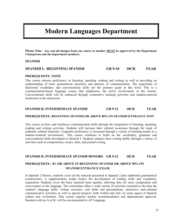# **Modern Languages Department**

**Please Note: Any and all changes from one course to another MUST be approved by the Department Chairperson and the department members.**

#### **SPANISH**

## **SPANISH I: BEGINNING SPANISH GR 9-10 10CR YEAR**

#### **PREREQUISITE: NONE**

This course stresses proficiency in listening, speaking, reading and writing as well as providing an understanding of basic grammatical structures and patterns of communication. The acquisition of functional vocabulary and conversational skills are the primary goals at this level. This is a communication-based language course that emphasizes the active involvement of the learner. Conversational skills will be enhanced through cooperative learning activities and student-centered instruction in the classroom.

### **SPANISH II: INTERMEDIATE SPANISH GR 9-12 10CR YEAR**

### **PREREQUISITE: BEGINNING SPANISH OR ABOVE 80% ON SPANISH ENTRANCE TEST**

This course reviews and reinforces communication skills through the integration of listening, speaking, reading and writing activities. Students will increase their cultural awareness through the study of authentic cultural materials. Linguistic proficiency is increased through a variety of learning modes in a student-centered environment. This course continues to build on the vocabulary, grammar and conversational skills developed in Spanish I. Students enhance their writing ability through a variety of activities such as compositions, essays, skits, and journal writing.

### **SPANISH II: INTERMEDIATE SPANISH HONORS GR 9-12 10CR YEAR**

# **PREREQUISITE: B+ OR ABOVE IN BEGINNING SPANISH OR ABOVE 90% ON SPANISH ENTRANCE EXAM.**

In Spanish 2 Honors, students cover all the material presented in Spanish 2 plus additional grammatical constructions. A supplementary reader fosters the development of reading skills and vocabulary acquisition. Students cover the basic material more quickly, allowing time for more composition and conversation in the language. The curriculum offers a wide variety of activities intended to develop the student's language skills: written exercises, oral drills and presentations, interactive task-oriented communicative activities as well as special projects, both written and oral, on some aspect of Spanish culture and civilization. This course requires teacher recommendation and departmental approval. Students with an A or B+ will be recommended to AP Language.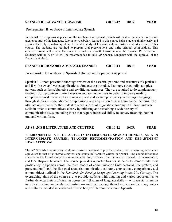### **SPANISH III: ADVANCED SPANISH GR 10-12 10CR YEAR**

Pre-requisite: B- or above in Intermediate Spanish

In Spanish III, emphasis is placed on the mechanics of Spanish, which will enable the student to assume greater control of the language. Idiomatic vocabulary learned in this course helps students think clearly and speak effectively to native speakers. Expanded study of Hispanic culture, history and art are part of this course. The students are required to prepare oral presentations and write original compositions. This creative format will enable the student to make a smooth transition into the Spanish IV curriculum. Students with an A or B+ will be recommended to take AP Spanish Language with the approval of the Department Head.

### **SPANISH III HONORS: ADVANCED SPANISH GR 10-12 10CR YEAR**

Pre-requisite: B+ or above in Spanish II Honors and Department Approval

Spanish 3 Honors presents a thorough review of the essential patterns and structures of Spanish I and II with new and varied applications. Students are introduced to more structurally complex patterns such as the subjunctive and conditional sentences. They are required to do supplementary readings from prominent Latin American and Spanish writers in order to improve reading comprehension skills as well as to increase oral and written proficiency in the target language through studies in style, idiomatic expressions, and acquisition of new grammatical patterns. The ultimate objective is for the student to reach a level of linguistic autonomy in all four language skills in order to communicate clearly by initiating and sustaining a wide variety of communicative tasks, including those that require increased ability to convey meaning, both in oral and written form.

## **AP SPANISH LITERATURE AND CULTURE GR 10-12 10CR YEAR**

### **PREREQUISITE: A B- OR ABOVE IN INTERMEDIATE SPANISH HONORS, AN A IN INTERMEDIATE SPANISH; TEACHER RECOMMENDATION AND DEPARTMENT HEAD APPROVAL**

The AP Spanish Literature and Culture course is designed to provide students with a learning experience equivalent to that of an introductory college course in literature written in Spanish. The course introduces students to the formal study of a representative body of texts from Peninsular Spanish, Latin American, and U.S. Hispanic literature. The course provides opportunities for students to demonstrate their proficiency in Spanish across the three modes of communication (interpersonal, interpretive, and presentational) and the five goal areas (communication, cultures, connections, comparisons, and communities) outlined in the *Standards for Foreign Language Learning in the 21st Century*. The overarching aims of the course are to provide students with ongoing and varied opportunities to further develop their proficiencies across the full range of language skills — with special attention to critical reading and analytical writing — and to encourage them to reflect on the many voices and cultures included in a rich and diverse body of literature written in Spanish.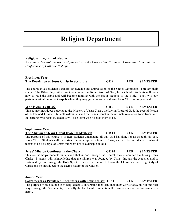# **Religion Department**

## **Religious Program of Studies**

*All course descriptions are in alignment with the Curriculum Framework from the United States Conference of Catholic Bishops*

# **Freshmen Year The Revelation of Jesus Christ in Scripture GR 9 5 CR SEMESTER**

The course gives students a general knowledge and appreciation of the Sacred Scriptures. Through their study of the Bible, they will come to encounter the living Word of God, Jesus Christ. Students will learn how to read the Bible and will become familiar with the major sections of the Bible. They will pay particular attention to the Gospels where they may grow to know and love Jesus Christ more personally.

### **Who is Jesus Christ? GR 9 5 CR SEMESTER** This course introduces students to the Mystery of Jesus Christ, the Living Word of God, the second Person of the Blessed Trinity. Students will understand that Jesus Christ is the ultimate revelation to us from God. In learning who Jesus is, students will also learn who he calls them to be.

### **Sophomore Year The Mission of Jesus Christ (Paschal Mystery) GR 10 5 CR SEMESTER** The purpose of this course is to help students understand all that God has done for us through his Son, Jesus Christ. Students will understand the redemptive action of Christ, and will be introduced to what it means to be a disciple of Christ and what life as a disciple entails.

# **Jesus' Mission Continues in the Church GR 10 5 CR SEMESTER** This course helps students understand that in and through the Church they encounter the Living Jesus Christ. Students will acknowledge that the Church was founded by Christ through the Apostles and is

sustained by him through the Holy Spirit. Students will come to know the Church as the living Body of Christ and be introduced to the sacred nature of the Church.

## **Junior Year**

**Sacraments as Privileged Encounters with Jesus Christ GR 11 5 CR SEMESTER** The purpose of this course is to help students understand they can encounter Christ today in full and real ways through the Sacraments, especially the Eucharist. Students will examine each of the Sacraments in detail.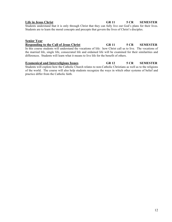# **Life in Jesus Christ GR 11 5 CR SEMESTER**

Students understand that it is only through Christ that they can fully live out God's plans for their lives. Students are to learn the moral concepts and precepts that govern the lives of Christ's disciples.

## **Senior Year**

# **Responding to the Call of Jesus Christ GR 11 5 CR SEMESTER** In this course students will understand the vocations of life: how Christ call us to live. The vocations of the married life, single life, consecrated life and ordained life will be examined for their similarities and differences. Students will learn what it means to live life for the benefit of others.

# **Ecumenical and Interreligious Issues GR 12 5 CR SEMESTER**

Students will explore how the Catholic Church relates to non-Catholic Christians as well as to the religions of the world. The course will also help students recognize the ways in which other systems of belief and practice differ from the Catholic faith.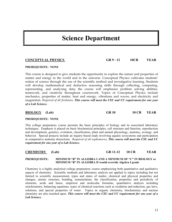# **Science Department**

### **PREREQUISITE: NONE**

This course is designed to give students the opportunity to explore the nature and properties of matter and energy in the world and in the universe. Conceptual Physics cultivates students' notion of science through the use of the scientific method and investigative learning. Students will develop mathematical and deductive reasoning skills through collecting, computing, representing, and analyzing data; the course will emphasize problem solving abilities, teamwork, and creativity throughout coursework. Topics of Conceptual Physics include mechanics, properties of matter, heat and energy, vibrations and waves, and electricity and magnetism. *Required of all freshmen. This course will meet the CSU and UC requirement for one year of a Lab Science.* 

**BIOLOGY (Lab) GR 10 10 CR YEAR**

### **PREREQUISITE: NONE**

This college preparatory course presents the basic principles of biology and its associated laboratory techniques. Emphasis is placed on basic biochemical principles, cell structure and function, reproduction and development, genetics, evolution, classification, plant and animal physiology, anatomy, ecology, and behavior. Special projects include an inquiry-based study involving aquatic ecosystems and participation in comparative anatomy dissections. *Required of all sophomores. This course will meet the CSU and UC requirement for one year of a Lab Science.* 

## **CHEMISTRY (Lab) GR 11-12 10 CR YEAR**

#### **PREREQUISITE: MINIMUM "B" IN ALGEBRA I AND A MINIMUM OF "C" IN BIOLOGY or MINIMUM "B" IN ALGEBRA II would override Algebra I grade**

Chemistry is a highly analytical college preparatory course emphasizing both quantitative and qualitative aspects of chemistry. Scientific methods and laboratory analysis are applied to topics including but not limited to scientific measurement, types and states of matter, chemical and physical properties and changes, atomic structure, bonding, nomenclature, the classification, properties and periodicity of elements, acids and bases, empirical and molecular formulas, quantitative analysis including stoichiometry, balancing equations, types of chemical reactions such as oxidation and reduction, gas laws, solutions, and special properties of water. Topics in organic chemistry, biochemistry and nuclear chemistry are also touched upon. *This course will meet the CSU and UC requirement for one year of a Lab Science.* 

## **CONCEPTUAL PHYSICS GR 9 - 12 10CR YEAR**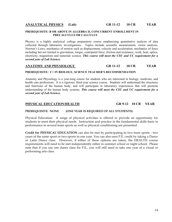### **PREREQUISITE: B OR ABOVE IN ALGEBRA II, CONCURRENT ENROLLMENT IN PRECALCULUS OR CALCULUS**

Physics is a highly analytical college preparatory course emphasizing quantitative analysis of data collected through laboratory investigations. Topics include scientific measurement, vector analysis, Newton's Laws, mechanics of motion such as displacement, velocity and acceleration, mechanics of force including but not limited to gravitation, torque, centripetal force, friction and resistance, work, heat, optics, electricity, magnetism and materials science. *This course will meet the CSU and UC requirement for a second year of Lab Science.* 

### **ANATOMY AND PHYSIOLOGY GR 11-12 10 CR YEAR**

#### **PREREQUISITE: C+ IN BIOLOGY, SCIENCE TEACHER'S RECOMMENDATION**

Anatomy and Physiology is a year-long course for students who are interested in biology, medicine, and health care professions. It is a rigorous, third-year science course. Students will understand the structures and functions of the human body, and will participate in laboratory experiences that will promote understanding of the human body systems. *This course will meet the CSU and UC requirement for a second year of Lab Science.* 

### **PHYSICAL EDUCATION/HEALTH GR 9-12 10 CR YEAR**

### **PREREQUISITE: NONE (ONE YEAR IS REQUIRED OF ALL STUDENTS)**

Physical Education: A range of physical activities is offered to provide an opportunity for students to meet their physical needs. Instruction and practice in the fundamental skills basic to performance in several team sports as well as physical conditioning are presented.

**Credit for PHYSICAL EDUCATION** can also be met by participating in two team sports - two years of the same sport or two sports in one year. You can also earn P.E. credit by taking a Dance or Latin Dance class. However, if either of these options are taken, the HEALTH course requirements will need to be met independently either in summer school or night school. Please note that if you use one dance class for P.E., you will still need to take one year of a visual or performing arts class.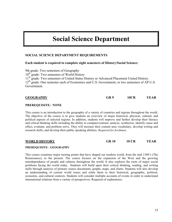# **Social Science Department**

# **SOCIAL SCIENCE DEPARTMENT REQUIREMENTS**

### **Each student is required to complete eight semesters of History/Social Science:**

9th grade: Two semesters of Geography 10<sup>th</sup> grade: Two semesters of World History 11<sup>th</sup> grade: Two semesters of United States History or Advanced Placement United History. 12<sup>th</sup> grade: One semester each of Economics and U.S. Government; or two semesters of AP U.S. Government.

| <b>GEOGRAPHY</b> | GR 9 | 10CR | YEAR |
|------------------|------|------|------|
|                  |      |      |      |

### **PREREQUISITE: NONE**

This course is an introduction to the geography of a variety of countries and regions throughout the world. The objective of the course is to give students an overview of major historical, physical, cultural, and political aspects of selected regions. In addition, students will improve and further develop their literacy and critical thinking skills including the ability to compare/contrast, analyze, synthesize, identify cause and effect, evaluate, and problem solve. They will increase their content area vocabulary, develop writing and research skills, and develop their public speaking abilities. *Required for freshmen.*

**WORLD HISTORY GR 10 10 CR YEAR**

### **PREREQUISITE: GEOGRAPHY**

This course examines major turning points that have shaped our modern world, from the mid 1300's (The Renaissance), to the present. The course focuses on the expansion of the West and the growing interdependence of people and cultures throughout the world. It also explores the roots of major social problems facing the world today. Students will build upon their critical thinking, reading, and writing skills through analysis of primary source documents, graphs, maps, and charts. Students will also develop an understanding of current world issues and relate them to their historical, geographic, political, economic, and cultural contexts. Students will consider multiple accounts of events in order to understand international relations from a variety of perspectives. Required of sophomores.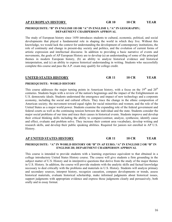#### **PREREQUISITE: "B" IN ENGLISH 1H OR "A" IN ENGLISH 1; "A" IN GEOGRAPHY; DEPARTMENT CHAIRPERSON APPROVAL**

The study of European history since 1450 introduces students to cultural, economic, political, and social developments that played a fundamental role in shaping the world in which they live. Without this knowledge, we would lack the context for understanding the development of contemporary institutions, the role of continuity and change in present-day society and politics, and the evolution of current forms of artistic expression and intellectual discourse. In addition to providing a basic narrative of events and movements, the goals of AP European History are to develop (a) an understanding of some of the principal themes in modern European history, (b) an ability to analyze historical evidence and historical interpretation, and (c) an ability to express historical understanding in writing. Students who successfully complete this course and pass the A.P. exam may qualify for college credit.

**UNITED STATES HISTORY GR 11 10 CR YEAR**

#### **PREREQUISITE: WORLD HISTORY**

This course addresses the major turning points in American history, with a focus on the  $19<sup>th</sup>$  and  $20<sup>th</sup>$ centuries. Students begin with a review of the nation's beginnings and the impact of the Enlightenment on U.S. democratic ideals. Students understand the emergence and impact of new technology and a corporate economy, including the social and cultural effects. They trace the change in the ethnic composition of American society; the movement toward equal rights for racial minorities and women; and the role of the United States as a major world power. Students examine the expanding role of the federal government and federal courts as well as the continuing tension between the individual and the state. Students consider the major social problems of our time and trace their causes in historical events. Students improve and develop their critical thinking skills including the ability to compare/contrast, analyze, synthesize, identify cause and effect, evaluate and problem solve. They increase their content area vocabulary, develop writing and research skills, and develop their public speaking abilities. Required for juniors not enrolled in AP U.S. History.

#### **AP UNITED STATES HISTORY GR 11 10 CR YEAR**

### **PREREQUISITE: "A" IN WORLD HISTORY OR "B" IN AP EURO; "A" IN ENGLISH 2 OR "B" IN ENGLISH 2H; DEPARTMENT CHAIRPERSON APPROVAL**

This course is intended to provide students with a learning experience equivalent to that obtained in a college introductory United States History course. The course will give students a firm grounding in the subject matter of U.S. History and in interpretive questions that derive from the study of the major themes in U.S. History. In addition, the course will provide students with the analytic skills and factual knowledge necessary to deal critically with the problems and materials in U.S. History. Students will analyze primary and secondary sources, interpret history, recognize causation, compare developments or trends, assess historical materials, evaluate historical scholarship, make informed judgments about historical issues, support judgments with appropriate evidence and express those judgments clearly and persuasively, both orally and in essay format.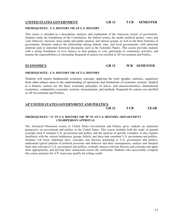### **UNITED STATES GOVERNMENT GR 12 5 CR SEMESTER**

#### **PREREQUISITE: U.S. HISTORY OR AP U.S. HISTORY**

This course is intended as a description, analysis, and explanation of the American system of government. Students study the foundations of the Constitution, the federal system, the media, political parties, voters and voter behavior, elections, mass media and public opinion, and interest groups, as well as the three branches of government. Students analyze the relationship among federal, state, and local governments, with particular attention paid to important historical documents such as the Federalist Papers. This course provides students with a strong foundation of civic literacy as they prepare to vote, participate in community activities, and assume the responsibilities of citizenship. Required of seniors not enrolled in AP Government and Politics.

#### **ECONOMICS GR 12 5CR SEMESTER**

#### **PREREQUISITE: U.S. HISTORY OR AP U.S. HISTORY**

Students will master fundamental economic concepts, applying the tools (graphs, statistics, equations) from other-subject areas to the understanding of operations and institutions of economic systems. Studied in a historic context are the basic economic principles of micro- and macroeconomics, international economics, comparative economic systems, measurement, and methods. Required for seniors not enrolled in AP Government and Politics.

### **AP UNITED STATES GOVERNMENT AND POLITICS GR 12 5 CR YEAR**

### **PREREQUISITE: "A" IN U.S. HISTORY OR "B" IN AP U.S. HISTORY; DEPARTMENT CHAIRPERSON APPROVAL**

The Advanced Placement course in United States Government and Politics gives students an analytical perspective on government and politics in the United States. This course includes both the study of general concepts used to interpret U.S. government and politics and the analysis of specific examples. It also requires familiarity with the various institutions, groups, beliefs, and ideas that constitute U.S. government and politics. Students will know important facts, concepts, and theories pertaining to U.S. government and politics; understand typical patterns of political processes and behavior and their consequences; analyze and interpret basic data relevant to U.S. government and politics; critically analyze relevant theories and concepts and apply them appropriately, and develop their connections across the curriculum. Students who successfully complete this course and pass the A.P. exam may qualify for college credit.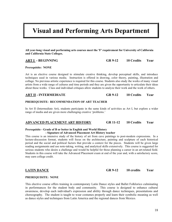# **Visual and Performing Arts Department**

**All year-long visual and performing arts courses meet the 'F' requirement for University of California and California State Colleges.**

### **ART I - BEGINNING GR 9-12 10 Credits Year**

#### **Prerequisite: NONE**

Art is an elective course designed to stimulate creative thinking, develop perceptual skills, and introduce techniques used in various media. Instruction is offered in drawing, color theory, painting, illustration and collage. No previous artistic experience is required for this course. Students also study the works of many visual artists from a wide range of cultures and time periods and they are given the opportunity to articulate their ideas about these works. Class and individual critiques allow students to analyze their work and the work of others.

#### **ART II - INTERMEDIATE GR 9-12 10 Credits Year**

### **PREREQUISITE: RECOMMENDATION OF ART TEACHER**

In Art II (Intermediate Art), students participate in the same kinds of activities as Art I, but explore a wider range of media and are given more challenging creative 'problems.'

#### **ADVANCED PLACEMENT ART HISTORY GR 11-12 10 Credits Year**

#### **Prerequisite - Grade of B or better in English and World History - Signature of Advanced Placement Art History teacher**

This course is an intensive study of the history of art from cave paintings to post-modern expressions. In a lecture-discussion format, students will focus on the architecture, painting and sculpture of each historical period and the social and political factors that provide a context for the pieces. Students will be given large reading assignments and use note-taking, writing, and analytical skills extensively. This course is suggested for serious students who desire a challenge and would be helpful for those planning a career in an art-related field. Students in this course will take the Advanced Placement exam at end of the year and, with a satisfactory score, may earn college credit.

### **PREREQUISITE: NONE**

This elective course offers training in contemporary Latin Dance styles and Ballet Folklorico culminating in performances for the student body and community. This course is designed to enhance cultural awareness, develop each individual's expression and ability through dance techniques, presentations and choreography. The student is taught to wear costumes properly and learn their symbolic meaning as well as dance styles and techniques from Latin America and the regional dances from Mexico.

**LATIN DANCE GR 9-12 10 credits Year**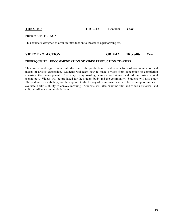### **THEATER GR 9-12 10 credits Year**

### **PREREQUISITE: NONE**

This course is designed to offer an introduction to theater as a performing art.

# **VIDEO PRODUCTION GR 9-12 10 credits Year**

#### **PREREQUISITE: RECOMMENDATION OF VIDEO PRODUCTION TEACHER**

This course is designed as an introduction to the production of video as a form of communication and means of artistic expression. Students will learn how to make a video from conception to completion stressing the development of a story, storyboarding, camera techniques and editing using digital technology. Videos will be produced for the student body and the community. Students will also study film and video vocabulary, will be exposed to the history of filmmaking and will be given opportunities to evaluate a film's ability to convey meaning. Students will also examine film and video's historical and cultural influence on our daily lives.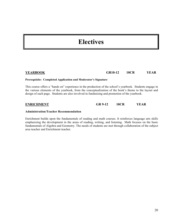# **Electives**

# **YEARBOOK GR10-12 10CR YEAR**

#### **Prerequisite: Completed Application and Moderator's Signature**

This course offers a "hands on" experience in the production of the school's yearbook. Students engage in the various elements of the yearbook, from the conceptualization of the book's theme to the layout and design of each page. Students are also involved in fundraising and promotion of the yearbook.

**ENRICHMENT GR 9-12 10CR YEAR**

#### **Administration/Teacher Recommendation**

Enrichment builds upon the fundamentals of reading and math courses. It reinforces language arts skills emphasizing the development in the areas of reading, writing, and listening. Math focuses on the basic fundamentals of Algebra and Geometry. The needs of students are met through collaboration of the subject area teacher and Enrichment teacher.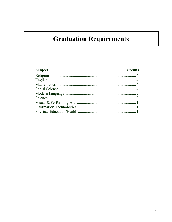# **Graduation Requirements**

# Subject

# **Credits**